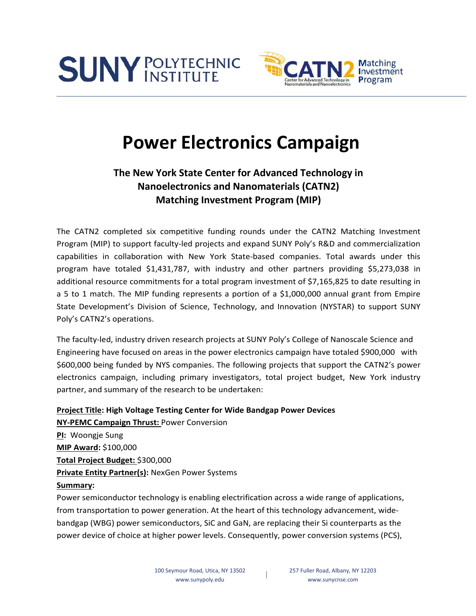



# **Power Electronics Campaign**

## **The New York State Center for Advanced Technology in Nanoelectronics and Nanomaterials (CATN2) Matching Investment Program (MIP)**

The CATN2 completed six competitive funding rounds under the CATN2 Matching Investment Program (MIP) to support faculty-led projects and expand SUNY Poly's R&D and commercialization capabilities in collaboration with New York State-based companies. Total awards under this program have totaled \$1,431,787, with industry and other partners providing \$5,273,038 in additional resource commitments for a total program investment of \$7,165,825 to date resulting in a 5 to 1 match. The MIP funding represents a portion of a \$1,000,000 annual grant from Empire State Development's Division of Science, Technology, and Innovation (NYSTAR) to support SUNY Poly's CATN2's operations.

The faculty-led, industry driven research projects at SUNY Poly's College of Nanoscale Science and Engineering have focused on areas in the power electronics campaign have totaled \$900,000 with \$600,000 being funded by NYS companies. The following projects that support the CATN2's power electronics campaign, including primary investigators, total project budget, New York industry partner, and summary of the research to be undertaken:

## **Project Title: High Voltage Testing Center for Wide Bandgap Power Devices**

**NY-PEMC Campaign Thrust:** Power Conversion **PI:** Woongje Sung **MIP Award:** \$100,000 **Total Project Budget:** \$300,000 **Private Entity Partner(s):** NexGen Power Systems **Summary:**

Power semiconductor technology is enabling electrification across a wide range of applications, from transportation to power generation. At the heart of this technology advancement, widebandgap (WBG) power semiconductors, SiC and GaN, are replacing their Si counterparts as the power device of choice at higher power levels. Consequently, power conversion systems (PCS),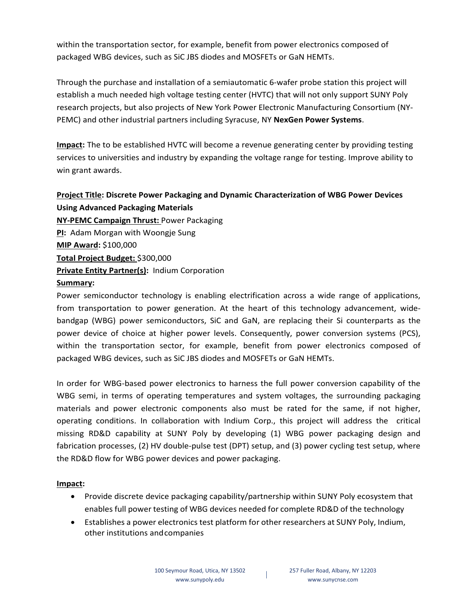within the transportation sector, for example, benefit from power electronics composed of packaged WBG devices, such as SiC JBS diodes and MOSFETs or GaN HEMTs.

Through the purchase and installation of a semiautomatic 6-wafer probe station this project will establish a much needed high voltage testing center (HVTC) that will not only support SUNY Poly research projects, but also projects of New York Power Electronic Manufacturing Consortium (NY-PEMC) and other industrial partners including Syracuse, NY **NexGen Power Systems**.

**Impact:** The to be established HVTC will become a revenue generating center by providing testing services to universities and industry by expanding the voltage range for testing. Improve ability to win grant awards.

## **Project Title: Discrete Power Packaging and Dynamic Characterization of WBG Power Devices Using Advanced Packaging Materials**

**NY-PEMC Campaign Thrust:** Power Packaging **PI:** Adam Morgan with Woongje Sung **MIP Award:** \$100,000 **Total Project Budget:** \$300,000 **Private Entity Partner(s):** Indium Corporation

## **Summary:**

Power semiconductor technology is enabling electrification across a wide range of applications, from transportation to power generation. At the heart of this technology advancement, widebandgap (WBG) power semiconductors, SiC and GaN, are replacing their Si counterparts as the power device of choice at higher power levels. Consequently, power conversion systems (PCS), within the transportation sector, for example, benefit from power electronics composed of packaged WBG devices, such as SiC JBS diodes and MOSFETs or GaN HEMTs.

In order for WBG-based power electronics to harness the full power conversion capability of the WBG semi, in terms of operating temperatures and system voltages, the surrounding packaging materials and power electronic components also must be rated for the same, if not higher, operating conditions. In collaboration with Indium Corp., this project will address the critical missing RD&D capability at SUNY Poly by developing (1) WBG power packaging design and fabrication processes, (2) HV double-pulse test (DPT) setup, and (3) power cycling test setup, where the RD&D flow for WBG power devices and power packaging.

## **Impact:**

- Provide discrete device packaging capability/partnership within SUNY Poly ecosystem that enables full power testing of WBG devices needed for complete RD&D of the technology
- Establishes a power electronics test platform for other researchers at SUNY Poly, Indium, other institutions andcompanies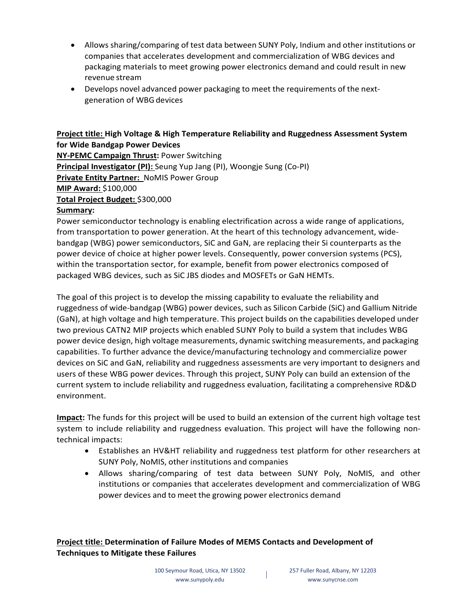- Allows sharing/comparing of test data between SUNY Poly, Indium and other institutions or companies that accelerates development and commercialization of WBG devices and packaging materials to meet growing power electronics demand and could result in new revenue stream
- Develops novel advanced power packaging to meet the requirements of the nextgeneration of WBG devices

## **Project title: High Voltage & High Temperature Reliability and Ruggedness Assessment System for Wide Bandgap Power Devices**

**NY-PEMC Campaign Thrust:** Power Switching **Principal Investigator (PI):** Seung Yup Jang (PI), Woongje Sung (Co-PI) **Private Entity Partner:** NoMIS Power Group **MIP Award:** \$100,000 **Total Project Budget:** \$300,000

## **Summary:**

Power semiconductor technology is enabling electrification across a wide range of applications, from transportation to power generation. At the heart of this technology advancement, widebandgap (WBG) power semiconductors, SiC and GaN, are replacing their Si counterparts as the power device of choice at higher power levels. Consequently, power conversion systems (PCS), within the transportation sector, for example, benefit from power electronics composed of packaged WBG devices, such as SiC JBS diodes and MOSFETs or GaN HEMTs.

The goal of this project is to develop the missing capability to evaluate the reliability and ruggedness of wide-bandgap (WBG) power devices, such as Silicon Carbide (SiC) and Gallium Nitride (GaN), at high voltage and high temperature. This project builds on the capabilities developed under two previous CATN2 MIP projects which enabled SUNY Poly to build a system that includes WBG power device design, high voltage measurements, dynamic switching measurements, and packaging capabilities. To further advance the device/manufacturing technology and commercialize power devices on SiC and GaN, reliability and ruggedness assessments are very important to designers and users of these WBG power devices. Through this project, SUNY Poly can build an extension of the current system to include reliability and ruggedness evaluation, facilitating a comprehensive RD&D environment.

**Impact:** The funds for this project will be used to build an extension of the current high voltage test system to include reliability and ruggedness evaluation. This project will have the following nontechnical impacts:

- Establishes an HV&HT reliability and ruggedness test platform for other researchers at SUNY Poly, NoMIS, other institutions and companies
- Allows sharing/comparing of test data between SUNY Poly, NoMIS, and other institutions or companies that accelerates development and commercialization of WBG power devices and to meet the growing power electronics demand

## **Project title: Determination of Failure Modes of MEMS Contacts and Development of Techniques to Mitigate these Failures**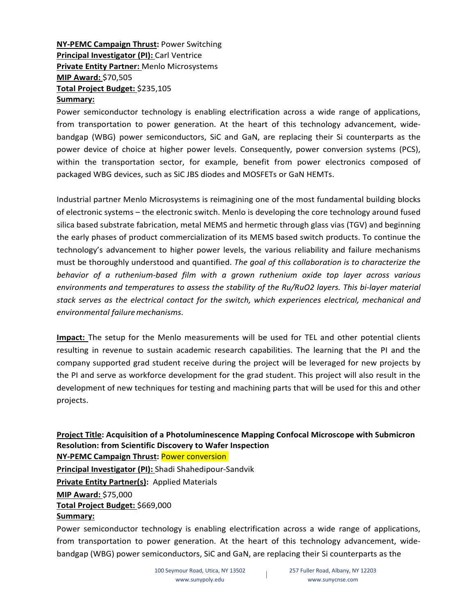## **NY-PEMC Campaign Thrust:** Power Switching **Principal Investigator (PI): Carl Ventrice Private Entity Partner:** Menlo Microsystems **MIP Award:** \$70,505 **Total Project Budget:** \$235,105 **Summary:**

Power semiconductor technology is enabling electrification across a wide range of applications, from transportation to power generation. At the heart of this technology advancement, widebandgap (WBG) power semiconductors, SiC and GaN, are replacing their Si counterparts as the power device of choice at higher power levels. Consequently, power conversion systems (PCS), within the transportation sector, for example, benefit from power electronics composed of packaged WBG devices, such as SiC JBS diodes and MOSFETs or GaN HEMTs.

Industrial partner Menlo Microsystems is reimagining one of the most fundamental building blocks of electronic systems – the electronic switch. Menlo is developing the core technology around fused silica based substrate fabrication, metal MEMS and hermetic through glass vias (TGV) and beginning the early phases of product commercialization of its MEMS based switch products. To continue the technology's advancement to higher power levels, the various reliability and failure mechanisms must be thoroughly understood and quantified. *The goal of this collaboration is to characterize the behavior of a ruthenium-based film with a grown ruthenium oxide top layer across various environments and temperatures to assess the stability of the Ru/RuO2 layers. This bi-layer material stack serves as the electrical contact for the switch, which experiences electrical, mechanical and environmental failuremechanisms.*

**Impact:** The setup for the Menlo measurements will be used for TEL and other potential clients resulting in revenue to sustain academic research capabilities. The learning that the PI and the company supported grad student receive during the project will be leveraged for new projects by the PI and serve as workforce development for the grad student. This project will also result in the development of new techniques for testing and machining parts that will be used for this and other projects.

**Project Title: Acquisition of a Photoluminescence Mapping Confocal Microscope with Submicron Resolution: from Scientific Discovery to Wafer Inspection NY-PEMC Campaign Thrust:** Power conversion **Principal Investigator (PI):** Shadi Shahedipour-Sandvik **Private Entity Partner(s):** Applied Materials **MIP Award:** \$75,000 **Total Project Budget:** \$669,000 **Summary:**

Power semiconductor technology is enabling electrification across a wide range of applications, from transportation to power generation. At the heart of this technology advancement, widebandgap (WBG) power semiconductors, SiC and GaN, are replacing their Si counterparts as the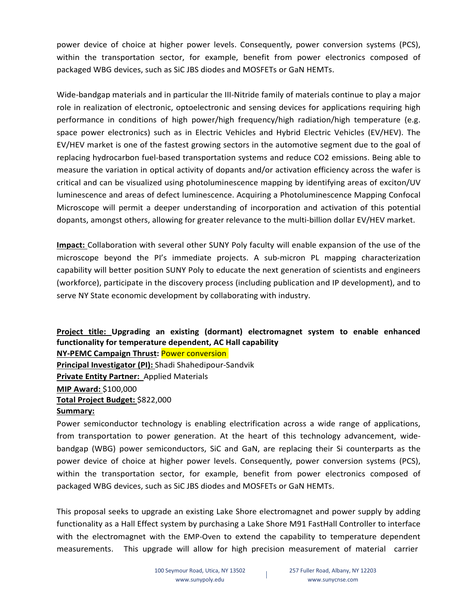power device of choice at higher power levels. Consequently, power conversion systems (PCS), within the transportation sector, for example, benefit from power electronics composed of packaged WBG devices, such as SiC JBS diodes and MOSFETs or GaN HEMTs.

Wide-bandgap materials and in particular the III-Nitride family of materials continue to play a major role in realization of electronic, optoelectronic and sensing devices for applications requiring high performance in conditions of high power/high frequency/high radiation/high temperature (e.g. space power electronics) such as in Electric Vehicles and Hybrid Electric Vehicles (EV/HEV). The EV/HEV market is one of the fastest growing sectors in the automotive segment due to the goal of replacing hydrocarbon fuel-based transportation systems and reduce CO2 emissions. Being able to measure the variation in optical activity of dopants and/or activation efficiency across the wafer is critical and can be visualized using photoluminescence mapping by identifying areas of exciton/UV luminescence and areas of defect luminescence. Acquiring a Photoluminescence Mapping Confocal Microscope will permit a deeper understanding of incorporation and activation of this potential dopants, amongst others, allowing for greater relevance to the multi-billion dollar EV/HEV market.

**Impact:** Collaboration with several other SUNY Poly faculty will enable expansion of the use of the microscope beyond the PI's immediate projects. A sub-micron PL mapping characterization capability will better position SUNY Poly to educate the next generation of scientists and engineers (workforce), participate in the discovery process (including publication and IP development), and to serve NY State economic development by collaborating with industry.

**Project title: Upgrading an existing (dormant) electromagnet system to enable enhanced functionality for temperature dependent, AC Hall capability**

**NY-PEMC Campaign Thrust:** Power conversion

**Principal Investigator (PI):** Shadi Shahedipour-Sandvik **Private Entity Partner:** Applied Materials

**MIP Award:** \$100,000

## **Total Project Budget:** \$822,000

#### **Summary:**

Power semiconductor technology is enabling electrification across a wide range of applications, from transportation to power generation. At the heart of this technology advancement, widebandgap (WBG) power semiconductors, SiC and GaN, are replacing their Si counterparts as the power device of choice at higher power levels. Consequently, power conversion systems (PCS), within the transportation sector, for example, benefit from power electronics composed of packaged WBG devices, such as SiC JBS diodes and MOSFETs or GaN HEMTs.

This proposal seeks to upgrade an existing Lake Shore electromagnet and power supply by adding functionality as a Hall Effect system by purchasing a Lake Shore M91 FastHall Controller to interface with the electromagnet with the EMP-Oven to extend the capability to temperature dependent measurements. This upgrade will allow for high precision measurement of material carrier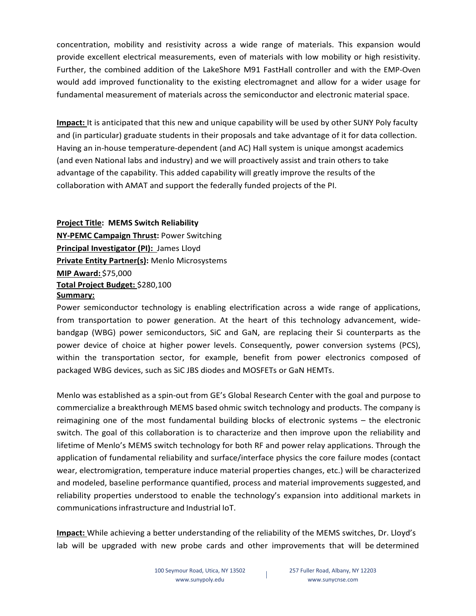concentration, mobility and resistivity across a wide range of materials. This expansion would provide excellent electrical measurements, even of materials with low mobility or high resistivity. Further, the combined addition of the LakeShore M91 FastHall controller and with the EMP-Oven would add improved functionality to the existing electromagnet and allow for a wider usage for fundamental measurement of materials across the semiconductor and electronic material space.

**Impact:** It is anticipated that this new and unique capability will be used by other SUNY Poly faculty and (in particular) graduate students in their proposals and take advantage of it for data collection. Having an in-house temperature-dependent (and AC) Hall system is unique amongst academics (and even National labs and industry) and we will proactively assist and train others to take advantage of the capability. This added capability will greatly improve the results of the collaboration with AMAT and support the federally funded projects of the PI.

**Project Title: MEMS Switch Reliability**

**NY-PEMC Campaign Thrust:** Power Switching **Principal Investigator (PI):** James Lloyd **Private Entity Partner(s):** Menlo Microsystems **MIP Award:** \$75,000 **Total Project Budget:** \$280,100 **Summary:**

Power semiconductor technology is enabling electrification across a wide range of applications, from transportation to power generation. At the heart of this technology advancement, widebandgap (WBG) power semiconductors, SiC and GaN, are replacing their Si counterparts as the power device of choice at higher power levels. Consequently, power conversion systems (PCS), within the transportation sector, for example, benefit from power electronics composed of packaged WBG devices, such as SiC JBS diodes and MOSFETs or GaN HEMTs.

Menlo was established as a spin-out from GE's Global Research Center with the goal and purpose to commercialize a breakthrough MEMS based ohmic switch technology and products. The company is reimagining one of the most fundamental building blocks of electronic systems – the electronic switch. The goal of this collaboration is to characterize and then improve upon the reliability and lifetime of Menlo's MEMS switch technology for both RF and power relay applications. Through the application of fundamental reliability and surface/interface physics the core failure modes (contact wear, electromigration, temperature induce material properties changes, etc.) will be characterized and modeled, baseline performance quantified, process and material improvements suggested, and reliability properties understood to enable the technology's expansion into additional markets in communicationsinfrastructure and Industrial IoT.

**Impact:** While achieving a better understanding of the reliability of the MEMS switches, Dr. Lloyd's lab will be upgraded with new probe cards and other improvements that will be determined